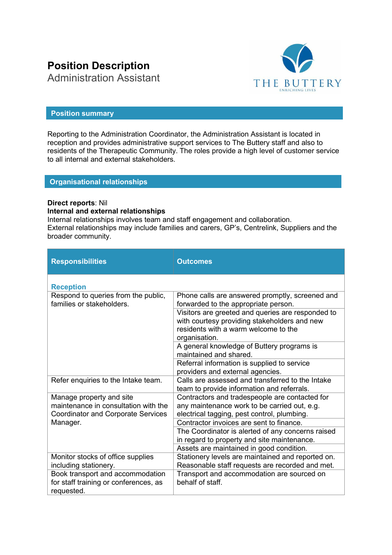# **Position Description**

THE BUTTERY

# Administration Assistant

# **Position summary**

Reporting to the Administration Coordinator, the Administration Assistant is located in reception and provides administrative support services to The Buttery staff and also to residents of the Therapeutic Community. The roles provide a high level of customer service to all internal and external stakeholders.

# **Organisational relationships**

#### **Direct reports**: Nil **Internal and external relationships**

Internal relationships involves team and staff engagement and collaboration. External relationships may include families and carers, GP's, Centrelink, Suppliers and the broader community.

| <b>Responsibilities</b>                                                                                                   | <b>Outcomes</b>                                                                                                                                                                                                                                       |
|---------------------------------------------------------------------------------------------------------------------------|-------------------------------------------------------------------------------------------------------------------------------------------------------------------------------------------------------------------------------------------------------|
| <b>Reception</b>                                                                                                          |                                                                                                                                                                                                                                                       |
| Respond to queries from the public,<br>families or stakeholders.                                                          | Phone calls are answered promptly, screened and<br>forwarded to the appropriate person.<br>Visitors are greeted and queries are responded to<br>with courtesy providing stakeholders and new<br>residents with a warm welcome to the<br>organisation. |
|                                                                                                                           | A general knowledge of Buttery programs is<br>maintained and shared.                                                                                                                                                                                  |
|                                                                                                                           | Referral information is supplied to service<br>providers and external agencies.                                                                                                                                                                       |
| Refer enquiries to the Intake team.                                                                                       | Calls are assessed and transferred to the Intake<br>team to provide information and referrals.                                                                                                                                                        |
| Manage property and site<br>maintenance in consultation with the<br><b>Coordinator and Corporate Services</b><br>Manager. | Contractors and tradespeople are contacted for<br>any maintenance work to be carried out, e.g.<br>electrical tagging, pest control, plumbing.                                                                                                         |
|                                                                                                                           | Contractor invoices are sent to finance.<br>The Coordinator is alerted of any concerns raised<br>in regard to property and site maintenance.                                                                                                          |
| Monitor stocks of office supplies<br>including stationery.                                                                | Assets are maintained in good condition.<br>Stationery levels are maintained and reported on.<br>Reasonable staff requests are recorded and met.                                                                                                      |
| Book transport and accommodation<br>for staff training or conferences, as<br>requested.                                   | Transport and accommodation are sourced on<br>behalf of staff.                                                                                                                                                                                        |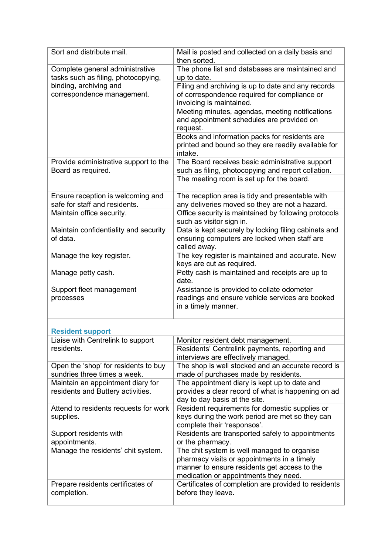| Sort and distribute mail.                                              | Mail is posted and collected on a daily basis and<br>then sorted.                                                                                                                   |
|------------------------------------------------------------------------|-------------------------------------------------------------------------------------------------------------------------------------------------------------------------------------|
| Complete general administrative<br>tasks such as filing, photocopying, | The phone list and databases are maintained and<br>up to date.                                                                                                                      |
| binding, archiving and<br>correspondence management.                   | Filing and archiving is up to date and any records<br>of correspondence required for compliance or<br>invoicing is maintained.                                                      |
|                                                                        | Meeting minutes, agendas, meeting notifications<br>and appointment schedules are provided on<br>request.                                                                            |
|                                                                        | Books and information packs for residents are<br>printed and bound so they are readily available for<br>intake.                                                                     |
| Provide administrative support to the<br>Board as required.            | The Board receives basic administrative support<br>such as filing, photocopying and report collation.                                                                               |
|                                                                        | The meeting room is set up for the board.                                                                                                                                           |
| Ensure reception is welcoming and<br>safe for staff and residents.     | The reception area is tidy and presentable with<br>any deliveries moved so they are not a hazard.                                                                                   |
| Maintain office security.                                              | Office security is maintained by following protocols<br>such as visitor sign in.                                                                                                    |
| Maintain confidentiality and security<br>of data.                      | Data is kept securely by locking filing cabinets and<br>ensuring computers are locked when staff are<br>called away.                                                                |
| Manage the key register.                                               | The key register is maintained and accurate. New<br>keys are cut as required.                                                                                                       |
| Manage petty cash.                                                     | Petty cash is maintained and receipts are up to<br>date.                                                                                                                            |
| Support fleet management<br>processes                                  | Assistance is provided to collate odometer<br>readings and ensure vehicle services are booked<br>in a timely manner.                                                                |
| <b>Resident support</b>                                                |                                                                                                                                                                                     |
| Liaise with Centrelink to support                                      | Monitor resident debt management.                                                                                                                                                   |
| residents.                                                             | Residents' Centrelink payments, reporting and<br>interviews are effectively managed.                                                                                                |
| Open the 'shop' for residents to buy<br>sundries three times a week.   | The shop is well stocked and an accurate record is<br>made of purchases made by residents.                                                                                          |
| Maintain an appointment diary for<br>residents and Buttery activities. | The appointment diary is kept up to date and<br>provides a clear record of what is happening on ad<br>day to day basis at the site.                                                 |
| Attend to residents requests for work<br>supplies.                     | Resident requirements for domestic supplies or<br>keys during the work period are met so they can<br>complete their 'responsos'.                                                    |
| Support residents with<br>appointments.                                | Residents are transported safely to appointments<br>or the pharmacy.                                                                                                                |
| Manage the residents' chit system.                                     | The chit system is well managed to organise<br>pharmacy visits or appointments in a timely<br>manner to ensure residents get access to the<br>medication or appointments they need. |
| Prepare residents certificates of<br>completion.                       | Certificates of completion are provided to residents<br>before they leave.                                                                                                          |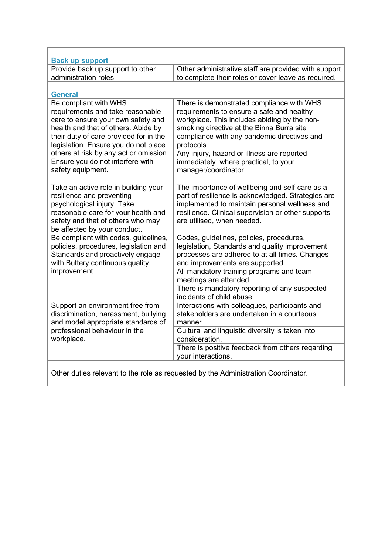| <b>Back up support</b>                                                                                                                                                                                                   |                                                                                                                                                                                                                                                  |
|--------------------------------------------------------------------------------------------------------------------------------------------------------------------------------------------------------------------------|--------------------------------------------------------------------------------------------------------------------------------------------------------------------------------------------------------------------------------------------------|
| Provide back up support to other                                                                                                                                                                                         | Other administrative staff are provided with support                                                                                                                                                                                             |
| administration roles                                                                                                                                                                                                     | to complete their roles or cover leave as required.                                                                                                                                                                                              |
|                                                                                                                                                                                                                          |                                                                                                                                                                                                                                                  |
| <b>General</b>                                                                                                                                                                                                           |                                                                                                                                                                                                                                                  |
| Be compliant with WHS<br>requirements and take reasonable<br>care to ensure your own safety and<br>health and that of others. Abide by<br>their duty of care provided for in the<br>legislation. Ensure you do not place | There is demonstrated compliance with WHS<br>requirements to ensure a safe and healthy<br>workplace. This includes abiding by the non-<br>smoking directive at the Binna Burra site<br>compliance with any pandemic directives and<br>protocols. |
| others at risk by any act or omission.<br>Ensure you do not interfere with<br>safety equipment.                                                                                                                          | Any injury, hazard or illness are reported<br>immediately, where practical, to your<br>manager/coordinator.                                                                                                                                      |
| Take an active role in building your<br>resilience and preventing<br>psychological injury. Take<br>reasonable care for your health and<br>safety and that of others who may<br>be affected by your conduct.              | The importance of wellbeing and self-care as a<br>part of resilience is acknowledged. Strategies are<br>implemented to maintain personal wellness and<br>resilience. Clinical supervision or other supports<br>are utilised, when needed.        |
| Be compliant with codes, guidelines,<br>policies, procedures, legislation and<br>Standards and proactively engage<br>with Buttery continuous quality<br>improvement.                                                     | Codes, guidelines, policies, procedures,<br>legislation, Standards and quality improvement<br>processes are adhered to at all times. Changes<br>and improvements are supported.                                                                  |
|                                                                                                                                                                                                                          | All mandatory training programs and team<br>meetings are attended.                                                                                                                                                                               |
|                                                                                                                                                                                                                          | There is mandatory reporting of any suspected<br>incidents of child abuse.                                                                                                                                                                       |
| Support an environment free from<br>discrimination, harassment, bullying<br>and model appropriate standards of<br>professional behaviour in the<br>workplace.                                                            | Interactions with colleagues, participants and<br>stakeholders are undertaken in a courteous<br>manner.                                                                                                                                          |
|                                                                                                                                                                                                                          | Cultural and linguistic diversity is taken into<br>consideration.                                                                                                                                                                                |
|                                                                                                                                                                                                                          | There is positive feedback from others regarding<br>your interactions.                                                                                                                                                                           |
|                                                                                                                                                                                                                          | Other duties relevant to the role as requested by the Administration Coordinator.                                                                                                                                                                |